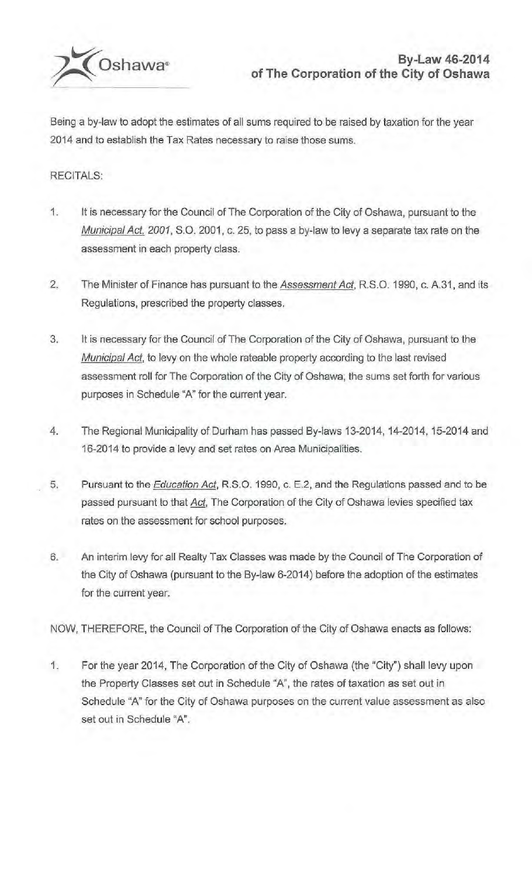

Being a by-law to adopt the estimates of all sums required to be raised by taxation for the year 2014 and to establish the Tax Rates necessary to raise those sums.

## RECITALS:

- 1. It is necessary for the Council of The Corporation of the City of Oshawa, pursuant to the Municipal Act. 2001, S.O. 2001, c. 25, to pass a by-law to levy a separate tax rate on the assessment in each property class.
- 2. The Minister of Finance has pursuant to the Assessment Act, R.S.O. 1990, c. A.31, and its Regulations, prescribed the property classes.
- 3. It is necessary for the Council of The Corporation of the City of Oshawa, pursuant to the Municipal Act, to levy on the whole rateable property according to the last revised assessment roll for The Corporation of the City of Oshawa; the sums set forth for various purposes in Schedule "A" for the current year.
- 4. The Regional Municipality of Durham has passed By-laws 13-2014, 14-2014, 15-2014 and 16-2014 to provide a levy and set rates on Area Municipalities.
- 5. Pursuant to the *Education Act*, R.S.O. 1990, c. E.2, and the Regulations passed and to be passed pursuant to that Act, The Corporation of the City of Oshawa levies specified tax rates on the assessment for school purposes.
- 6. An interim levy for all Realty Tax Classes was made by the Council of The Corporation of the City of Oshawa (pursuant to the By-law 6-2014) before the adoption of the estimates for the current year.

NOW, THEREFORE, the Council of The Corporation of the City of Oshawa enacts as follows:

1. For the year 2014, The Corporation of the City of Oshawa (the °City") shall levy upon the Property Classes set out in Schedule "A", the rates of taxation as set out in Schedule "A" for the City of Oshawa purposes on the current value assessment as also set out in Schedule "A".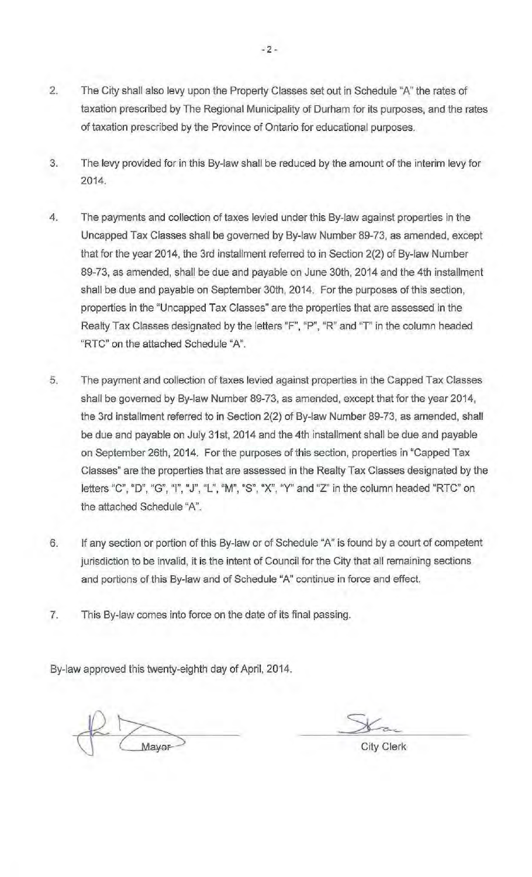- 2. The City shall also levy upon the Property Classes set out in Schedule "A'' the rates of taxation prescribed by The Regional Municipality of Durham for its purposes, and the rates of taxation prescribed by the Province of Ontario for educational purposes.
- 3. The levy provided for in this By-law shall be reduced by the amount of the interim levy for 2014.
- 4. The payments and collection of taxes levied under this By-law against properties in the Uncapped Tax Classes shall be governed by By-law Number 89-73, as amended, except that for the year 2014, the 3rd installment referred to in Section 2(2) of By-law Number 89-73, as amended, shall be due and payable on June 30th, 2014 and the 4th installment shall be due and payable on September 30th, 2014. For the purposes of this section, properties in the ''Uncapped Tax Classes" are the properties that are assessed in the Realty Tax Classes designated by the letters "F", "P", "R" and "T" in the column headed "RTC" on the attached Schedule "A".
- 5. The payment and collection of taxes levied against properties in the Capped Tax Classes shall be governed by By-law Number 89-73, as amended, except that for the year 2014, the 3rd installment referred to in Section 2(2) of By-law Number 89-73, as amended, shall be due and payable on July 31st, 2014 and the 4th installment shall be due and payable on September 26th, 2014. For the purposes of this section, properties in "Capped Tax Classes" are the properties that are assessed in the Realty Tax Glasses designated by the letters "C", "D", "G", "I", "J", "L", "M", "S", "X", "Y" and "Z" in the column headed "RTC" on the attached Schedule "A".
- 6. If any section or portion of this By-law or of Schedule "A" is found by a court of competent jurisdiction to be invalid, it is the intent of Council for the City that all remaining sections and portions of this By-law and of Schedule "A" continue in force and effect.
- 7. This By-law comes into force on the date of its final passing.

By-law approved this twenty-eighth day of April, 2014.

City Clerk